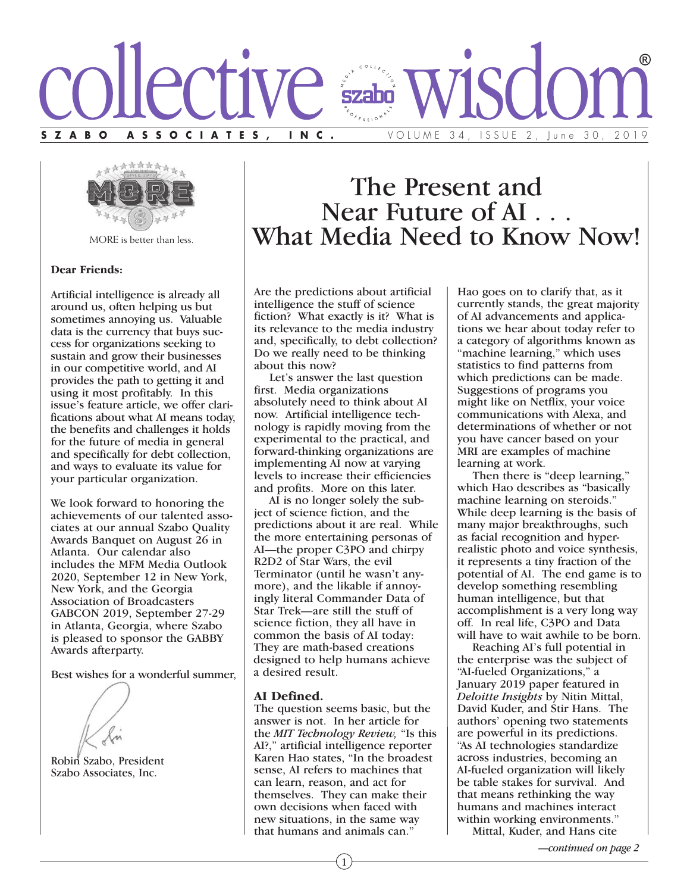



MORE is better than less.

#### **Dear Friends:**

Artificial intelligence is already all around us, often helping us but sometimes annoying us. Valuable data is the currency that buys success for organizations seeking to sustain and grow their businesses in our competitive world, and AI provides the path to getting it and using it most profitably. In this issue's feature article, we offer clarifications about what AI means today, the benefits and challenges it holds for the future of media in general and specifically for debt collection, and ways to evaluate its value for your particular organization.

We look forward to honoring the achievements of our talented associates at our annual Szabo Quality Awards Banquet on August 26 in Atlanta. Our calendar also includes the MFM Media Outlook 2020, September 12 in New York, New York, and the Georgia Association of Broadcasters GABCON 2019, September 27-29 in Atlanta, Georgia, where Szabo is pleased to sponsor the GABBY Awards afterparty.

Best wishes for a wonderful summer,



Robin Szabo, President Szabo Associates, Inc.

# The Present and<br>Near Future of AI... What Media Need to Know Now!

Are the predictions about artificial intelligence the stuff of science fiction? What exactly is it? What is its relevance to the media industry and, specifically, to debt collection? Do we really need to be thinking about this now?

 Let's answer the last question first. Media organizations absolutely need to think about AI now. Artificial intelligence technology is rapidly moving from the experimental to the practical, and forward-thinking organizations are implementing AI now at varying levels to increase their efficiencies and profits. More on this later.

 AI is no longer solely the subject of science fiction, and the predictions about it are real. While the more entertaining personas of AI—the proper C3PO and chirpy R2D2 of Star Wars, the evil Terminator (until he wasn't anymore), and the likable if annoyingly literal Commander Data of Star Trek—are still the stuff of science fiction, they all have in common the basis of AI today: They are math-based creations designed to help humans achieve a desired result.

#### **AI Defined.**

The question seems basic, but the answer is not. In her article for the *MIT Technology Review,* "Is this AI?," artificial intelligence reporter Karen Hao states, "In the broadest sense, AI refers to machines that can learn, reason, and act for themselves. They can make their own decisions when faced with new situations, in the same way that humans and animals can."

1

Hao goes on to clarify that, as it currently stands, the great majority of AI advancements and applications we hear about today refer to <sup>a</sup> category of algorithms known as "machine learning," which uses statistics to find patterns from which predictions can be made. Suggestions of programs you might like on Netflix, your voice communications with Alexa, and determinations of whether or not you have cancer based on your MRI are examples of machine learning at work.

Then there is "deep learning," which Hao describes as "basically machine learning on steroids." While deep learning is the basis of many major breakthroughs, such as facial recognition and hyperrealistic photo and voice synthesis, it represents <sup>a</sup> tiny fraction of the potential of AI. The end game is to develop something resembling human intelligence, but that accomplishment is <sup>a</sup> very long way off. In real life, C3PO and Data will have to wait awhile to be born.

Reaching AI's full potential in the enterprise was the subject of "AI-fueled Organizations," <sup>a</sup> January 2019 paper featured in *Deloitte Insights* by Nitin Mittal, David Kuder, and Stir Hans. The authors' opening two statements are powerful in its predictions. "As AI technologies standardize across industries, becoming an AI-fueled organization will likely be table stakes for survival. And that means rethinking the way humans and machines interact within working environments."

Mittal, Kuder, and Hans cite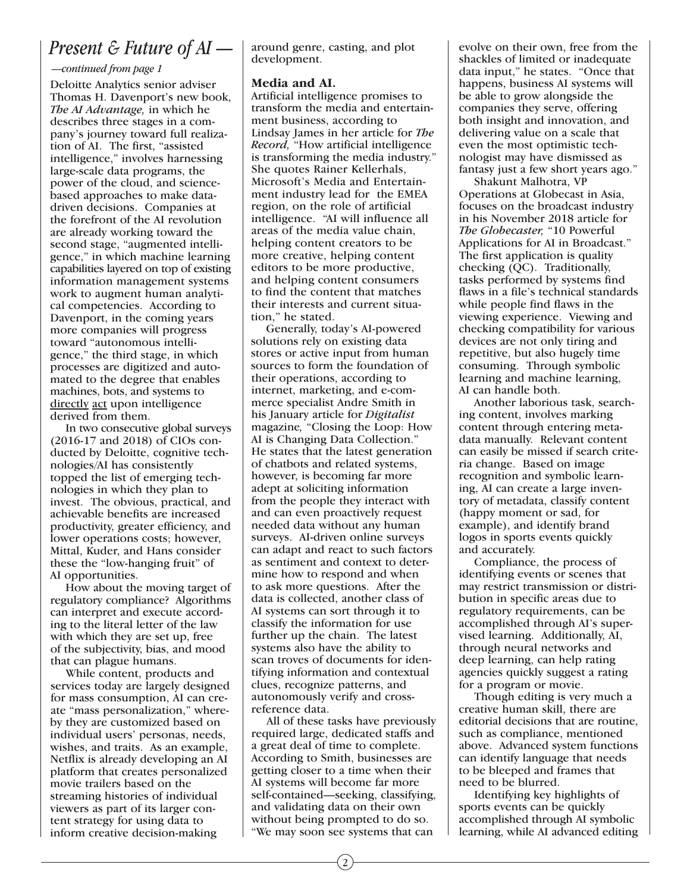## *Present & Future of AI —*

#### *—continued from page 1*

Deloitte Analytics senior adviser Thomas H. Davenport's new book, *The AI Advantage,* in which he describes three stages in a company's journey toward full realization of AI. The first, "assisted intelligence," involves harnessing large-scale data programs, the power of the cloud, and sciencebased approaches to make datadriven decisions. Companies at the forefront of the AI revolution are already working toward the second stage, "augmented intelligence," in which machine learning capabilities layered on top of existing information management systems work to augment human analytical competencies. According to Davenport, in the coming years more companies will progress toward "autonomous intelligence," the third stage, in which processes are digitized and automated to the degree that enables machines, bots, and systems to directly act upon intelligence derived from them.

 In two consecutive global surveys (2016-17 and 2018) of CIOs conducted by Deloitte, cognitive technologies/AI has consistently topped the list of emerging technologies in which they plan to invest. The obvious, practical, and achievable benefits are increased productivity, greater efficiency, and lower operations costs; however, Mittal, Kuder, and Hans consider these the "low-hanging fruit" of AI opportunities.

 How about the moving target of regulatory compliance? Algorithms can interpret and execute according to the literal letter of the law with which they are set up, free of the subjectivity, bias, and mood that can plague humans.

 While content, products and services today are largely designed for mass consumption, AI can create "mass personalization," whereby they are customized based on individual users' personas, needs, wishes, and traits. As an example, Netflix is already developing an AI platform that creates personalized movie trailers based on the streaming histories of individual viewers as part of its larger content strategy for using data to inform creative decision-making

around genre, casting, and plot development.

### **Media and AI.**

Artificial intelligence promises to transform the media and entertainment business, according to Lindsay James in her article for *The Record,* "How artificial intelligence is transforming the media industry." She quotes Rainer Kellerhals, Microsoft's Media and Entertainment industry lead for the EMEA region, on the role of artificial intelligence. "AI will influence all areas of the media value chain, helping content creators to be more creative, helping content editors to be more productive, and helping content consumers to find the content that matches their interests and current situation," he stated.

 Generally, today's AI-powered solutions rely on existing data stores or active input from human sources to form the foundation of their operations, according to internet, marketing, and e-commerce specialist Andre Smith in his January article for *Digitalist* magazine*,* "Closing the Loop: How AI is Changing Data Collection." He states that the latest generation of chatbots and related systems, however, is becoming far more adept at soliciting information from the people they interact with and can even proactively request needed data without any human surveys. AI-driven online surveys can adapt and react to such factors as sentiment and context to determine how to respond and when to ask more questions. After the data is collected, another class of AI systems can sort through it to classify the information for use further up the chain. The latest systems also have the ability to scan troves of documents for identifying information and contextual clues, recognize patterns, and autonomously verify and crossreference data.

 All of these tasks have previously required large, dedicated staffs and a great deal of time to complete. According to Smith, businesses are getting closer to a time when their AI systems will become far more self-contained—seeking, classifying, and validating data on their own without being prompted to do so. "We may soon see systems that can

evolve on their own, free from the shackles of limited or inadequate data input," he states. "Once that happens, business AI systems will be able to grow alongside the companies they serve, offering both insight and innovation, and delivering value on a scale that even the most optimistic technologist may have dismissed as fantasy just a few short years ago."

 Shakunt Malhotra, VP Operations at Globecast in Asia, focuses on the broadcast industry in his November 2018 article for *The Globecaster,* "10 Powerful Applications for AI in Broadcast." The first application is quality checking (QC). Traditionally, tasks performed by systems find flaws in a file's technical standards while people find flaws in the viewing experience. Viewing and checking compatibility for various devices are not only tiring and repetitive, but also hugely time consuming. Through symbolic learning and machine learning, AI can handle both.

 Another laborious task, searching content, involves marking content through entering metadata manually. Relevant content can easily be missed if search criteria change. Based on image recognition and symbolic learning, AI can create a large inventory of metadata, classify content (happy moment or sad, for example), and identify brand logos in sports events quickly and accurately.

 Compliance, the process of identifying events or scenes that may restrict transmission or distribution in specific areas due to regulatory requirements, can be accomplished through AI's supervised learning. Additionally, AI, through neural networks and deep learning, can help rating agencies quickly suggest a rating for a program or movie.

 Though editing is very much a creative human skill, there are editorial decisions that are routine, such as compliance, mentioned above. Advanced system functions can identify language that needs to be bleeped and frames that need to be blurred.

 Identifying key highlights of sports events can be quickly accomplished through AI symbolic learning, while AI advanced editing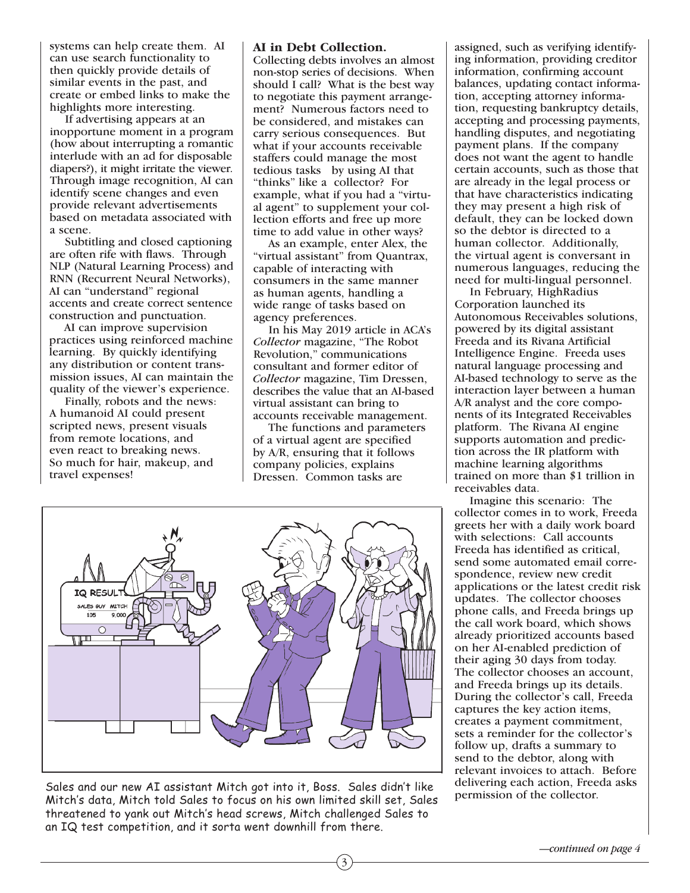systems can help create them. AI can use search functionality to then quickly provide details of similar events in the past, and create or embed links to make the highlights more interesting.

 If advertising appears at an inopportune moment in a program (how about interrupting a romantic interlude with an ad for disposable diapers?), it might irritate the viewer. Through image recognition, AI can identify scene changes and even provide relevant advertisements based on metadata associated with a scene.

 Subtitling and closed captioning are often rife with flaws. Through NLP (Natural Learning Process) and RNN (Recurrent Neural Networks), AI can "understand" regional accents and create correct sentence construction and punctuation.

 AI can improve supervision practices using reinforced machine learning. By quickly identifying any distribution or content transmission issues, AI can maintain the quality of the viewer's experience.

 Finally, robots and the news: A humanoid AI could present scripted news, present visuals from remote locations, and even react to breaking news. So much for hair, makeup, and travel expenses!

#### **AI in Debt Collection.**

Collecting debts involves an almost non-stop series of decisions. When should I call? What is the best way to negotiate this payment arrangement? Numerous factors need to be considered, and mistakes can carry serious consequences. But what if your accounts receivable staffers could manage the most tedious tasks by using AI that "thinks" like a collector? For example, what if you had a "virtual agent" to supplement your collection efforts and free up more time to add value in other ways?

 As an example, enter Alex, the "virtual assistant" from Quantrax, capable of interacting with consumers in the same manner as human agents, handling a wide range of tasks based on agency preferences.

 In his May 2019 article in ACA's *Collector* magazine, "The Robot Revolution," communications consultant and former editor of *Collector* magazine, Tim Dressen, describes the value that an AI-based virtual assistant can bring to accounts receivable management.

 The functions and parameters of a virtual agent are specified by A/R, ensuring that it follows company policies, explains Dressen. Common tasks are



Sales and our new AI assistant Mitch got into it, Boss. Sales didn't like Mitch's data, Mitch told Sales to focus on his own limited skill set, Sales threatened to yank out Mitch's head screws, Mitch challenged Sales to an IQ test competition, and it sorta went downhill from there.

assigned, such as verifying identifying information, providing creditor information, confirming account balances, updating contact information, accepting attorney information, requesting bankruptcy details, accepting and processing payments, handling disputes, and negotiating payment plans. If the company does not want the agent to handle certain accounts, such as those that are already in the legal process or that have characteristics indicating they may present a high risk of default, they can be locked down so the debtor is directed to a human collector. Additionally, the virtual agent is conversant in numerous languages, reducing the need for multi-lingual personnel.

 In February, HighRadius Corporation launched its Autonomous Receivables solutions, powered by its digital assistant Freeda and its Rivana Artificial Intelligence Engine. Freeda uses natural language processing and AI-based technology to serve as the interaction layer between a human A/R analyst and the core components of its Integrated Receivables platform. The Rivana AI engine supports automation and prediction across the IR platform with machine learning algorithms trained on more than \$1 trillion in receivables data.

 Imagine this scenario: The collector comes in to work, Freeda greets her with a daily work board with selections: Call accounts Freeda has identified as critical, send some automated email correspondence, review new credit applications or the latest credit risk updates. The collector chooses phone calls, and Freeda brings up the call work board, which shows already prioritized accounts based on her AI-enabled prediction of their aging 30 days from today. The collector chooses an account, and Freeda brings up its details. During the collector's call, Freeda captures the key action items, creates a payment commitment, sets a reminder for the collector's follow up, drafts a summary to send to the debtor, along with relevant invoices to attach. Before delivering each action, Freeda asks permission of the collector.